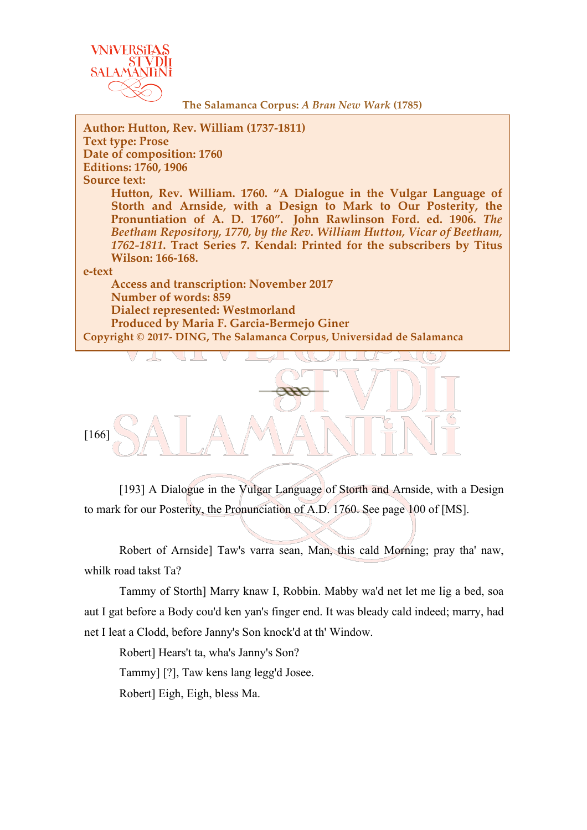

**The Salamanca Corpus:** *A Bran New Wark* **(1785)**

**Author: Hutton, Rev. William (1737-1811) Text type: Prose Date of composition: 1760 Editions: 1760, 1906 Source text: Hutton, Rev. William. 1760. "A Dialogue in the Vulgar Language of Storth and Arnside, with a Design to Mark to Our Posterity, the Pronuntiation of A. D. 1760". John Rawlinson Ford. ed. 1906.** *The Beetham Repository, 1770, by the Rev. William Hutton, Vicar of Beetham, 1762-1811***. Tract Series 7. Kendal: Printed for the subscribers by Titus Wilson: 166-168. e-text Access and transcription: November 2017 Number of words: 859 Dialect represented: Westmorland Produced by Maria F. Garcia-Bermejo Giner Copyright © 2017- DING, The Salamanca Corpus, Universidad de Salamanca**



[193] A Dialogue in the Vulgar Language of Storth and Arnside, with a Design to mark for our Posterity, the Pronunciation of A.D. 1760. See page 100 of [MS].

Robert of Arnside] Taw's varra sean, Man, this cald Morning; pray tha' naw, whilk road takst Ta?

Tammy of Storth] Marry knaw I, Robbin. Mabby wa'd net let me lig a bed, soa aut I gat before a Body cou'd ken yan's finger end. It was bleady cald indeed; marry, had net I leat a Clodd, before Janny's Son knock'd at th' Window.

Robert] Hears't ta, wha's Janny's Son?

Tammy] [?], Taw kens lang legg'd Josee.

Robert] Eigh, Eigh, bless Ma.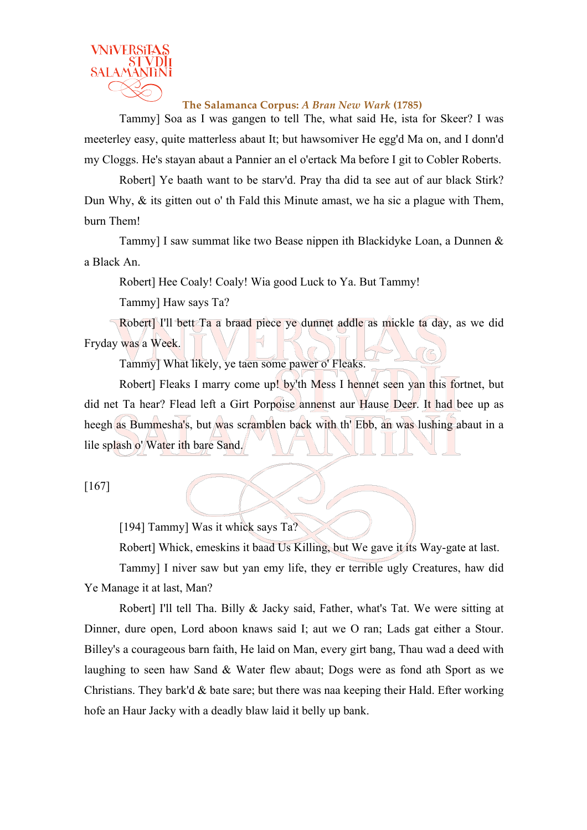

**The Salamanca Corpus:** *A Bran New Wark* **(1785)**

Tammy] Soa as I was gangen to tell The, what said He, ista for Skeer? I was meeterley easy, quite matterless abaut It; but hawsomiver He egg'd Ma on, and I donn'd my Cloggs. He's stayan abaut a Pannier an el o'ertack Ma before I git to Cobler Roberts.

Robert] Ye baath want to be starv'd. Pray tha did ta see aut of aur black Stirk? Dun Why, & its gitten out o' th Fald this Minute amast, we ha sic a plague with Them, burn Them!

Tammy] I saw summat like two Bease nippen ith Blackidyke Loan, a Dunnen & a Black An.

Robert] Hee Coaly! Coaly! Wia good Luck to Ya. But Tammy!

Tammy] Haw says Ta?

Robert] I'll bett Ta a braad piece ye dunnet addle as mickle ta day, as we did Fryday was a Week.

Tammy] What likely, ye taen some pawer o' Fleaks.

Robert] Fleaks I marry come up! by'th Mess I hennet seen yan this fortnet, but did net Ta hear? Flead left a Girt Porpoise annenst aur Hause Deer. It had bee up as heegh as Bummesha's, but was scramblen back with th' Ebb, an was lushing abaut in a lile splash o' Water ith bare Sand.

```
[167]
```
[194] Tammy] Was it whick says Ta?

Robert] Whick, emeskins it baad Us Killing, but We gave it its Way-gate at last.

Tammy] I niver saw but yan emy life, they er terrible ugly Creatures, haw did Ye Manage it at last, Man?

Robert] I'll tell Tha. Billy & Jacky said, Father, what's Tat. We were sitting at Dinner, dure open, Lord aboon knaws said I; aut we O ran; Lads gat either a Stour. Billey's a courageous barn faith, He laid on Man, every girt bang, Thau wad a deed with laughing to seen haw Sand & Water flew abaut; Dogs were as fond ath Sport as we Christians. They bark'd  $\&$  bate sare; but there was naa keeping their Hald. Efter working hofe an Haur Jacky with a deadly blaw laid it belly up bank.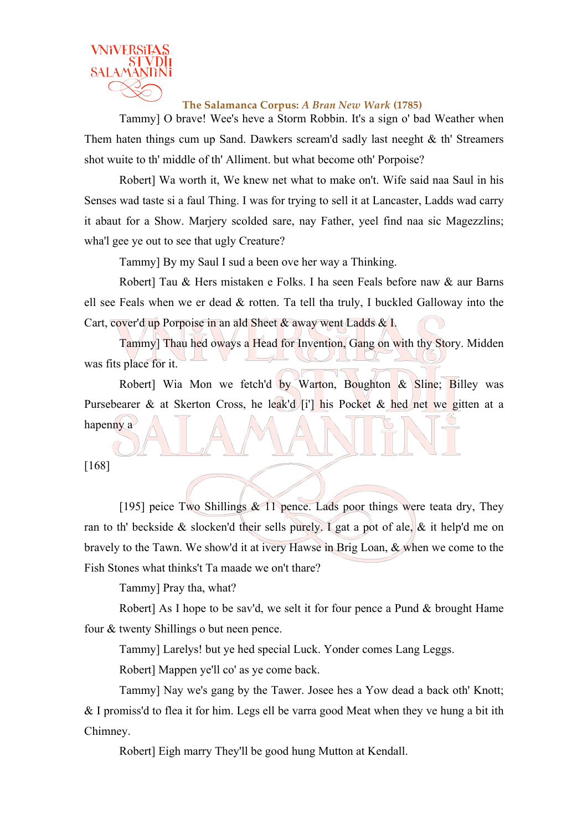

**The Salamanca Corpus:** *A Bran New Wark* **(1785)**

Tammy] O brave! Wee's heve a Storm Robbin. It's a sign o' bad Weather when Them haten things cum up Sand. Dawkers scream'd sadly last neeght & th' Streamers shot wuite to th' middle of th' Alliment. but what become oth' Porpoise?

Robert] Wa worth it, We knew net what to make on't. Wife said naa Saul in his Senses wad taste si a faul Thing. I was for trying to sell it at Lancaster, Ladds wad carry it abaut for a Show. Marjery scolded sare, nay Father, yeel find naa sic Magezzlins; wha'l gee ye out to see that ugly Creature?

Tammy] By my Saul I sud a been ove her way a Thinking.

Robert] Tau & Hers mistaken e Folks. I ha seen Feals before naw & aur Barns ell see Feals when we er dead & rotten. Ta tell tha truly, I buckled Galloway into the Cart, cover'd up Porpoise in an ald Sheet & away went Ladds & I.

Tammy] Thau hed oways a Head for Invention, Gang on with thy Story. Midden was fits place for it.

Robert] Wia Mon we fetch'd by Warton, Boughton  $\&$  Sline; Billey was Pursebearer & at Skerton Cross, he leak'd [i'] his Pocket & hed net we gitten at a hapenny a

[168]

[195] peice Two Shillings  $& 11$  pence. Lads poor things were teata dry, They ran to th' beckside & slocken'd their sells purely. I gat a pot of ale,  $\&$  it help'd me on bravely to the Tawn. We show'd it at ivery Hawse in Brig Loan, & when we come to the Fish Stones what thinks't Ta maade we on't thare?

Tammy] Pray tha, what?

Robert] As I hope to be sav'd, we selt it for four pence a Pund & brought Hame four & twenty Shillings o but neen pence.

Tammy] Larelys! but ye hed special Luck. Yonder comes Lang Leggs.

Robert] Mappen ye'll co' as ye come back.

Tammy] Nay we's gang by the Tawer. Josee hes a Yow dead a back oth' Knott; & I promiss'd to flea it for him. Legs ell be varra good Meat when they ve hung a bit ith Chimney.

Robert] Eigh marry They'll be good hung Mutton at Kendall.